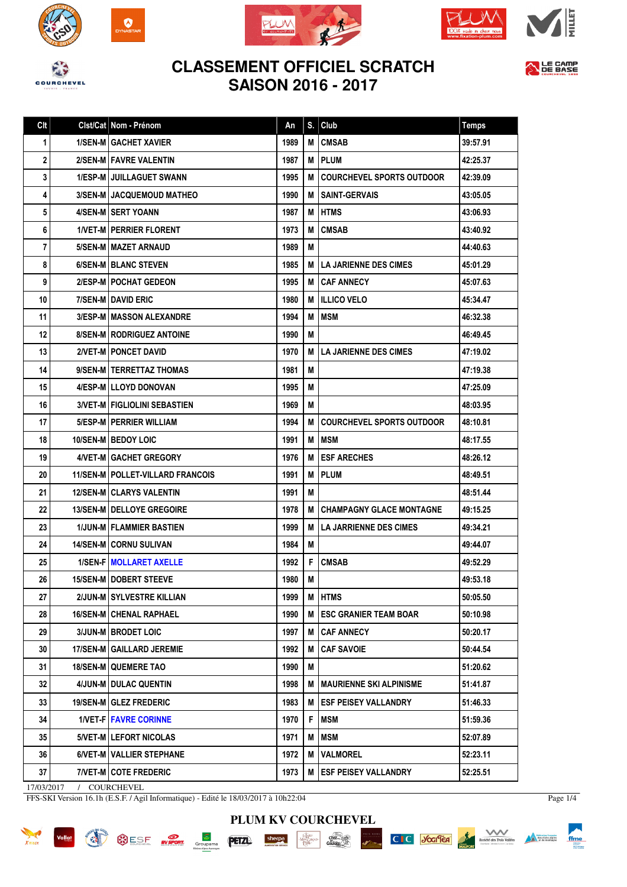

 $\boldsymbol{\Omega}$ 











| Clt | Clst/Cat Nom - Prénom                     | An   | S. | Club                             | <b>Temps</b> |
|-----|-------------------------------------------|------|----|----------------------------------|--------------|
| 1   | <b>1/SEN-M GACHET XAVIER</b>              | 1989 | М  | <b>CMSAB</b>                     | 39:57.91     |
| 2   | 2/SEN-M FAVRE VALENTIN                    | 1987 | M  | <b>PLUM</b>                      | 42:25.37     |
| 3   | <b>1/ESP-M I JUILLAGUET SWANN</b>         | 1995 | М  | <b>COURCHEVEL SPORTS OUTDOOR</b> | 42:39.09     |
| 4   | <b>3/SEN-M I JACQUEMOUD MATHEO</b>        | 1990 | M  | <b>SAINT-GERVAIS</b>             | 43:05.05     |
| 5   | 4/SEN-MISERT YOANN                        | 1987 | м  | <b>HTMS</b>                      | 43:06.93     |
| 6   | <b>1/VET-M   PERRIER FLORENT</b>          | 1973 | M  | <b>CMSAB</b>                     | 43:40.92     |
| 7   | 5/SEN-M   MAZET ARNAUD                    | 1989 | M  |                                  | 44:40.63     |
| 8   | 6/SEN-M BLANC STEVEN                      | 1985 | М  | <b>LA JARIENNE DES CIMES</b>     | 45:01.29     |
| 9   | 2/ESP-M   POCHAT GEDEON                   | 1995 | M  | <b>CAF ANNECY</b>                | 45:07.63     |
| 10  | 7/SEN-M DAVID ERIC                        | 1980 | М  | <b>ILLICO VELO</b>               | 45:34.47     |
| 11  | <b>3/ESP-M   MASSON ALEXANDRE</b>         | 1994 | M  | MSM                              | 46:32.38     |
| 12  | <b>8/SEN-MIRODRIGUEZ ANTOINE</b>          | 1990 | M  |                                  | 46:49.45     |
| 13  | <b>2/VET-M   PONCET DAVID</b>             | 1970 | М  | <b>LA JARIENNE DES CIMES</b>     | 47:19.02     |
| 14  | 9/SEN-M   TERRETTAZ THOMAS                | 1981 | М  |                                  | 47:19.38     |
| 15  | 4/ESP-M LLOYD DONOVAN                     | 1995 | M  |                                  | 47:25.09     |
| 16  | <b>3/VET-M   FIGLIOLINI SEBASTIEN</b>     | 1969 | M  |                                  | 48:03.95     |
| 17  | 5/ESP-M   PERRIER WILLIAM                 | 1994 | M  | <b>COURCHEVEL SPORTS OUTDOOR</b> | 48:10.81     |
| 18  | 10/SEN-M   BEDOY LOIC                     | 1991 | М  | MSM                              | 48:17.55     |
| 19  | 4/VET-M GACHET GREGORY                    | 1976 | M  | <b>ESF ARECHES</b>               | 48:26.12     |
| 20  | <b>11/SEN-M   POLLET-VILLARD FRANCOIS</b> | 1991 | М  | <b>PLUM</b>                      | 48:49.51     |
| 21  | <b>12/SEN-MICLARYS VALENTIN</b>           | 1991 | М  |                                  | 48:51.44     |
| 22  | <b>13/SEN-M   DELLOYE GREGOIRE</b>        | 1978 | M  | <b>CHAMPAGNY GLACE MONTAGNE</b>  | 49:15.25     |
| 23  | 1/JUN-M FLAMMIER BASTIEN                  | 1999 | М  | <b>LA JARRIENNE DES CIMES</b>    | 49:34.21     |
| 24  | 14/SEN-M CORNU SULIVAN                    | 1984 | M  |                                  | 49:44.07     |
| 25  | <b>1/SEN-FIMOLLARET AXELLE</b>            | 1992 | F  | <b>CMSAB</b>                     | 49:52.29     |
| 26  | <b>15/SEN-MIDOBERT STEEVE</b>             | 1980 | M  |                                  | 49:53.18     |
| 27  | 2/JUN-M SYLVESTRE KILLIAN                 | 1999 | М  | <b>HTMS</b>                      | 50:05.50     |
| 28  | <b>16/SEN-M CHENAL RAPHAEL</b>            | 1990 | М  | <b>ESC GRANIER TEAM BOAR</b>     | 50:10.98     |
| 29  | <b>3/JUN-M   BRODET LOIC</b>              | 1997 | м  | <b>CAF ANNECY</b>                | 50:20.17     |
| 30  | <b>17/SEN-M GAILLARD JEREMIE</b>          | 1992 | М  | <b>CAF SAVOIE</b>                | 50:44.54     |
| 31  | <b>18/SEN-M QUEMERE TAO</b>               | 1990 | M  |                                  | 51:20.62     |
| 32  | 4/JUN-M DULAC QUENTIN                     | 1998 | М  | I MAURIENNE SKI ALPINISME        | 51:41.87     |
| 33  | 19/SEN-M GLEZ FREDERIC                    | 1983 | м  | <b> ESF PEISEY VALLANDRY</b>     | 51:46.33     |
| 34  | <b>1/VET-F   FAVRE CORINNE</b>            | 1970 | F  | MSM                              | 51:59.36     |
| 35  | 5/VET-M LEFORT NICOLAS                    | 1971 | M  | <b>MSM</b>                       | 52:07.89     |
| 36  | 6/VET-M   VALLIER STEPHANE                | 1972 | M  | <b>VALMOREL</b>                  | 52:23.11     |
| 37  | 7/VET-M COTE FREDERIC                     | 1973 | M  | <b>ESF PEISEY VALLANDRY</b>      | 52:25.51     |
|     |                                           |      |    |                                  |              |

**PLUM KV COURCHEVEL**

 $\begin{array}{|c|c|}\hline & \overline{h\overline{h}BU} \\ \hline \end{array}$  -May Gavyo-

sherpa

 $\begin{picture}(180,10) \put(0,0){\line(1,0){155}} \put(15,0){\line(1,0){155}} \put(15,0){\line(1,0){155}} \put(15,0){\line(1,0){155}} \put(15,0){\line(1,0){155}} \put(15,0){\line(1,0){155}} \put(15,0){\line(1,0){155}} \put(15,0){\line(1,0){155}} \put(15,0){\line(1,0){155}} \put(15,0){\line(1,0){155}} \put(15,0){\line(1,0){155}}$ 

17/03/2017 / COURCHEVEL

FFS-SKI Version 16.1h (E.S.F. / Agil Informatique) - Edité le 18/03/2017 à 10h22:04



Page 1/4

ffme

Meteritian francaise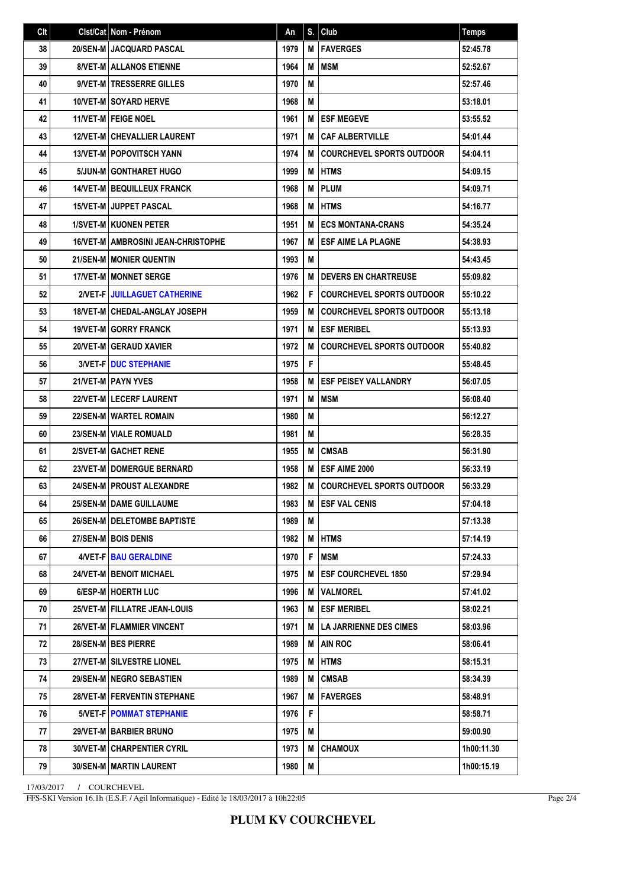| Clt | Clst/Cat Nom - Prénom                       | An   | S. | Club                             | <b>Temps</b> |
|-----|---------------------------------------------|------|----|----------------------------------|--------------|
| 38  | 20/SEN-M JACQUARD PASCAL                    | 1979 | M  | <b>FAVERGES</b>                  | 52:45.78     |
| 39  | <b>8/VET-M   ALLANOS ETIENNE</b>            | 1964 | M  | MSM                              | 52:52.67     |
| 40  | 9/VET-M   TRESSERRE GILLES                  | 1970 | M  |                                  | 52:57.46     |
| 41  | <b>10/VET-MISOYARD HERVE</b>                | 1968 | М  |                                  | 53:18.01     |
| 42  | <b>11/VET-MIFEIGE NOEL</b>                  | 1961 | M  | <b>ESF MEGEVE</b>                | 53:55.52     |
| 43  | <b>12/VET-M CHEVALLIER LAURENT</b>          | 1971 | M  | <b>CAF ALBERTVILLE</b>           | 54:01.44     |
| 44  | <b>13/VET-M   POPOVITSCH YANN</b>           | 1974 | M  | <b>COURCHEVEL SPORTS OUTDOOR</b> | 54:04.11     |
| 45  | 5/JUN-M GONTHARET HUGO                      | 1999 | M  | <b>HTMS</b>                      | 54:09.15     |
| 46  | 14/VET-M   BEQUILLEUX FRANCK                | 1968 | M  | <b>PLUM</b>                      | 54:09.71     |
| 47  | <b>15/VET-M JUPPET PASCAL</b>               | 1968 | M  | <b>HTMS</b>                      | 54:16.77     |
| 48  | <b>1/SVET-M KUONEN PETER</b>                | 1951 | M  | <b>ECS MONTANA-CRANS</b>         | 54:35.24     |
| 49  | <b>16/VET-M   AMBROSINI JEAN-CHRISTOPHE</b> | 1967 | M  | <b>ESF AIME LA PLAGNE</b>        | 54:38.93     |
| 50  | 21/SEN-M   MONIER QUENTIN                   | 1993 | M  |                                  | 54:43.45     |
| 51  | <b>17/VET-M I MONNET SERGE</b>              | 1976 | M  | <b>DEVERS EN CHARTREUSE</b>      | 55:09.82     |
| 52  | 2/VET-FIJUILLAGUET CATHERINE                | 1962 | F  | <b>COURCHEVEL SPORTS OUTDOOR</b> | 55:10.22     |
| 53  | <b>18/VET-M   CHEDAL-ANGLAY JOSEPH</b>      | 1959 | M  | <b>COURCHEVEL SPORTS OUTDOOR</b> | 55:13.18     |
| 54  | <b>19/VET-MIGORRY FRANCK</b>                | 1971 | M  | <b>ESF MERIBEL</b>               | 55:13.93     |
| 55  | 20/VET-M GERAUD XAVIER                      | 1972 | M  | <b>COURCHEVEL SPORTS OUTDOOR</b> | 55:40.82     |
| 56  | 3/VET-F   DUC STEPHANIE                     | 1975 | F  |                                  | 55:48.45     |
| 57  | 21/VET-MIPAYN YVES                          | 1958 | M  | <b>ESF PEISEY VALLANDRY</b>      | 56:07.05     |
| 58  | 22/VET-MILECERF LAURENT                     | 1971 | M  | <b>MSM</b>                       | 56:08.40     |
| 59  | 22/SEN-M WARTEL ROMAIN                      | 1980 | М  |                                  | 56:12.27     |
| 60  | 23/SEN-M VIALE ROMUALD                      | 1981 | М  |                                  | 56:28.35     |
| 61  | 2/SVET-M GACHET RENE                        | 1955 | M  | <b>CMSAB</b>                     | 56:31.90     |
| 62  | 23/VET-M   DOMERGUE BERNARD                 | 1958 | M  | ESF AIME 2000                    | 56:33.19     |
| 63  | <b>24/SEN-M   PROUST ALEXANDRE</b>          | 1982 | M  | <b>COURCHEVEL SPORTS OUTDOOR</b> | 56:33.29     |
| 64  | 25/SEN-M DAME GUILLAUME                     | 1983 | M  | <b>ESF VAL CENIS</b>             | 57:04.18     |
| 65  | 26/SEN-M   DELETOMBE BAPTISTE               | 1989 | M  |                                  | 57:13.38     |
| 66  | 27/SEN-M BOIS DENIS                         | 1982 | M  | <b>HTMS</b>                      | 57:14.19     |
| 67  | 4/VET-FIBAU GERALDINE                       | 1970 | F  | MSM                              | 57:24.33     |
| 68  | 24/VET-M   BENOIT MICHAEL                   | 1975 | M  | <b>ESF COURCHEVEL 1850</b>       | 57:29.94     |
| 69  | 6/ESP-M   HOERTH LUC                        | 1996 | M  | <b>VALMOREL</b>                  | 57:41.02     |
| 70  | 25/VET-M FILLATRE JEAN-LOUIS                | 1963 | M  | <b>ESF MERIBEL</b>               | 58:02.21     |
| 71  | 26/VET-M   FLAMMIER VINCENT                 | 1971 | М  | <b>LA JARRIENNE DES CIMES</b>    | 58:03.96     |
| 72  | 28/SEN-M BES PIERRE                         | 1989 | м  | AIN ROC                          | 58:06.41     |
| 73  | 27/VET-M SILVESTRE LIONEL                   | 1975 | M  | <b>HTMS</b>                      | 58:15.31     |
| 74  | 29/SEN-M   NEGRO SEBASTIEN                  | 1989 | M  | <b>CMSAB</b>                     | 58:34.39     |
| 75  | 28/VET-M   FERVENTIN STEPHANE               | 1967 | М  | <b>FAVERGES</b>                  | 58:48.91     |
| 76  | <b>5/VET-F   POMMAT STEPHANIE</b>           | 1976 | F  |                                  | 58:58.71     |
| 77  | 29/VET-M   BARBIER BRUNO                    | 1975 | M  |                                  | 59:00.90     |
| 78  | <b>30/VET-M   CHARPENTIER CYRIL</b>         | 1973 | M  | <b>CHAMOUX</b>                   | 1h00:11.30   |
| 79  | <b>30/SEN-M   MARTIN LAURENT</b>            | 1980 | M  |                                  | 1h00:15.19   |

17/03/2017 / COURCHEVEL

FFS-SKI Version 16.1h (E.S.F. / Agil Informatique) - Edité le 18/03/2017 à 10h22:05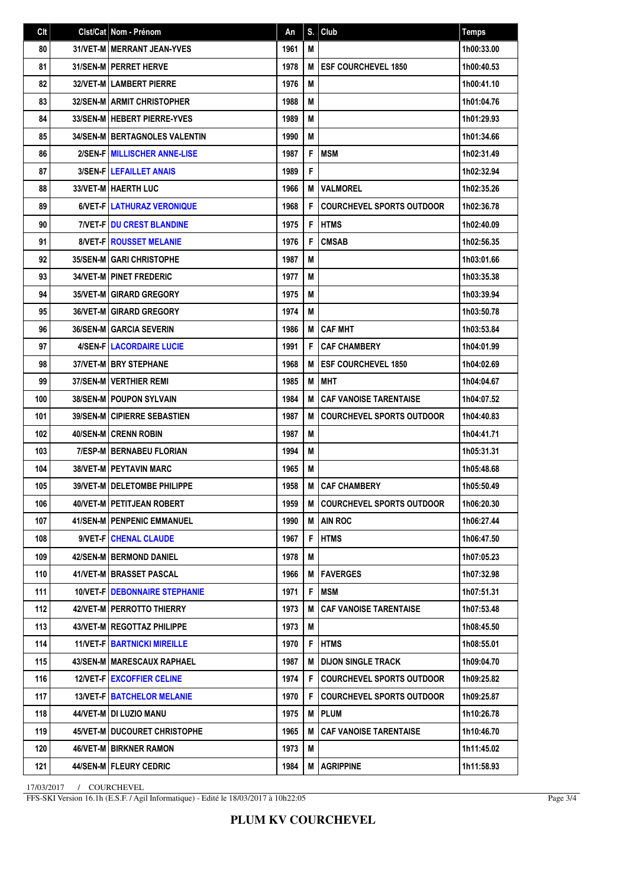| Clt | Clst/Cat Nom - Prénom                 | An   | S. | Club                             | <b>Temps</b> |
|-----|---------------------------------------|------|----|----------------------------------|--------------|
| 80  | 31/VET-M   MERRANT JEAN-YVES          | 1961 | M  |                                  | 1h00:33.00   |
| 81  | 31/SEN-M   PERRET HERVE               | 1978 | M  | <b>ESF COURCHEVEL 1850</b>       | 1h00:40.53   |
| 82  | <b>32/VET-M LAMBERT PIERRE</b>        | 1976 | M  |                                  | 1h00:41.10   |
| 83  | <b>32/SEN-M LARMIT CHRISTOPHER</b>    | 1988 | M  |                                  | 1h01:04.76   |
| 84  | 33/SEN-M HEBERT PIERRE-YVES           | 1989 | M  |                                  | 1h01:29.93   |
| 85  | <b>34/SEN-M BERTAGNOLES VALENTIN</b>  | 1990 | M  |                                  | 1h01:34.66   |
| 86  | 2/SEN-F MILLISCHER ANNE-LISE          | 1987 | F  | MSM                              | 1h02:31.49   |
| 87  | <b>3/SEN-FILEFAILLET ANAIS</b>        | 1989 | F  |                                  | 1h02:32.94   |
| 88  | 33/VET-M   HAERTH LUC                 | 1966 | M  | <b>VALMOREL</b>                  | 1h02:35.26   |
| 89  | 6/VET-FILATHURAZ VERONIQUE            | 1968 | F  | <b>COURCHEVEL SPORTS OUTDOOR</b> | 1h02:36.78   |
| 90  | <b>7/VET-FIDU CREST BLANDINE</b>      | 1975 | F  | <b>HTMS</b>                      | 1h02:40.09   |
| 91  | <b>8/VET-FIROUSSET MELANIE</b>        | 1976 | F  | <b>CMSAB</b>                     | 1h02:56.35   |
| 92  | <b>35/SEN-M GARI CHRISTOPHE</b>       | 1987 | M  |                                  | 1h03:01.66   |
| 93  | <b>34/VET-M   PINET FREDERIC</b>      | 1977 | M  |                                  | 1h03:35.38   |
| 94  | <b>35/VET-M GIRARD GREGORY</b>        | 1975 | M  |                                  | 1h03:39.94   |
| 95  | <b>36/VET-M GIRARD GREGORY</b>        | 1974 | M  |                                  | 1h03:50.78   |
| 96  | <b>36/SEN-M GARCIA SEVERIN</b>        | 1986 | M  | <b>CAF MHT</b>                   | 1h03:53.84   |
| 97  | <b>4/SEN-FILACORDAIRE LUCIE</b>       | 1991 | F  | <b>CAF CHAMBERY</b>              | 1h04:01.99   |
| 98  | <b>37/VET-M I BRY STEPHANE</b>        | 1968 | M  | <b>ESF COURCHEVEL 1850</b>       | 1h04:02.69   |
| 99  | <b>37/SEN-M   VERTHIER REMI</b>       | 1985 | M  | <b>IMHT</b>                      | 1h04:04.67   |
| 100 | <b>38/SEN-MIPOUPON SYLVAIN</b>        | 1984 | M  | <b>CAF VANOISE TARENTAISE</b>    | 1h04:07.52   |
| 101 | <b>39/SEN-M CIPIERRE SEBASTIEN</b>    | 1987 | M  | <b>COURCHEVEL SPORTS OUTDOOR</b> | 1h04:40.83   |
| 102 | <b>40/SEN-MICRENN ROBIN</b>           | 1987 | M  |                                  | 1h04:41.71   |
| 103 | <b>7/ESP-M BERNABEU FLORIAN</b>       | 1994 | M  |                                  | 1h05:31.31   |
| 104 | <b>38/VET-M PEYTAVIN MARC</b>         | 1965 | M  |                                  | 1h05:48.68   |
| 105 | 39/VET-M   DELETOMBE PHILIPPE         | 1958 | M  | <b>CAF CHAMBERY</b>              | 1h05:50.49   |
| 106 | 40/VET-M PETITJEAN ROBERT             | 1959 | M  | <b>COURCHEVEL SPORTS OUTDOOR</b> | 1h06:20.30   |
| 107 | 41/SEN-M   PENPENIC EMMANUEL          | 1990 | M  | <b>AIN ROC</b>                   | 1h06:27.44   |
| 108 | 9/VET-F   CHENAL CLAUDE               | 1967 | F  | <b>HTMS</b>                      | 1h06:47.50   |
| 109 | <b>42/SEN-MIBERMOND DANIEL</b>        | 1978 | M  |                                  | 1h07:05.23   |
| 110 | 41/VET-M BRASSET PASCAL               | 1966 | M  | <b>IFAVERGES</b>                 | 1h07:32.98   |
| 111 | <b>10/VET-FIDEBONNAIRE STEPHANIE</b>  | 1971 | F  | MSM                              | 1h07:51.31   |
| 112 | 42/VET-M   PERROTTO THIERRY           | 1973 | M  | <b>CAF VANOISE TARENTAISE</b>    | 1h07:53.48   |
| 113 | <b>43/VET-M   REGOTTAZ PHILIPPE</b>   | 1973 | M  |                                  | 1h08:45.50   |
| 114 | <b>11/VET-F   BARTNICKI MIREILLE</b>  | 1970 | F  | <b>HTMS</b>                      | 1h08:55.01   |
| 115 | 43/SEN-M   MARESCAUX RAPHAEL          | 1987 | M  | <b>DIJON SINGLE TRACK</b>        | 1h09:04.70   |
| 116 | 12/VET-F   EXCOFFIER CELINE           | 1974 | F  | <b>COURCHEVEL SPORTS OUTDOOR</b> | 1h09:25.82   |
| 117 | <b>13/VET-F   BATCHELOR MELANIE</b>   | 1970 | F  | <b>COURCHEVEL SPORTS OUTDOOR</b> | 1h09:25.87   |
| 118 | 44/VET-M   DI LUZIO MANU              | 1975 | M  | <b>PLUM</b>                      | 1h10:26.78   |
| 119 | <b>45/VET-M I DUCOURET CHRISTOPHE</b> | 1965 | M  | <b>CAF VANOISE TARENTAISE</b>    | 1h10:46.70   |
| 120 | 46/VET-M   BIRKNER RAMON              | 1973 | M  |                                  | 1h11:45.02   |
| 121 | 44/SEN-M   FLEURY CEDRIC              | 1984 | M  | <b>AGRIPPINE</b>                 | 1h11:58.93   |

17/03/2017 / COURCHEVEL

FFS-SKI Version 16.1h (E.S.F. / Agil Informatique) - Edité le 18/03/2017 à 10h22:05